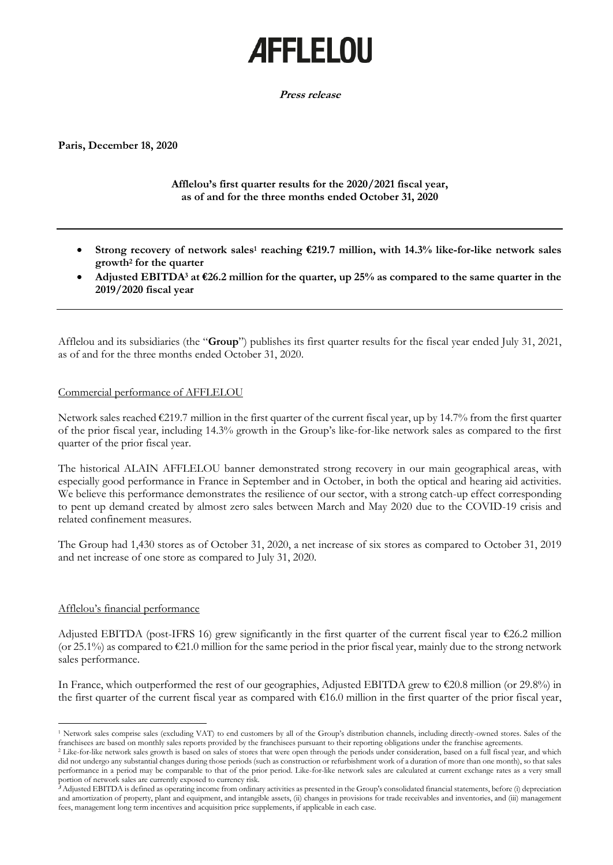# **AFFLELOU**

**Press release**

**Paris, December 18, 2020**

**Afflelou's first quarter results for the 2020/2021 fiscal year, as of and for the three months ended October 31, 2020**

- **Strong recovery of network sales<sup>1</sup> reaching €219.7 million, with 14.3% like-for-like network sales growth<sup>2</sup> for the quarter**
- **Adjusted EBITDA<sup>3</sup> at €26.2 million for the quarter, up 25% as compared to the same quarter in the 2019/2020 fiscal year**

Afflelou and its subsidiaries (the "**Group**") publishes its first quarter results for the fiscal year ended July 31, 2021, as of and for the three months ended October 31, 2020.

## Commercial performance of AFFLELOU

Network sales reached  $\epsilon$ 219.7 million in the first quarter of the current fiscal year, up by 14.7% from the first quarter of the prior fiscal year, including 14.3% growth in the Group's like-for-like network sales as compared to the first quarter of the prior fiscal year.

The historical ALAIN AFFLELOU banner demonstrated strong recovery in our main geographical areas, with especially good performance in France in September and in October, in both the optical and hearing aid activities. We believe this performance demonstrates the resilience of our sector, with a strong catch-up effect corresponding to pent up demand created by almost zero sales between March and May 2020 due to the COVID-19 crisis and related confinement measures.

The Group had 1,430 stores as of October 31, 2020, a net increase of six stores as compared to October 31, 2019 and net increase of one store as compared to July 31, 2020.

## Afflelou's financial performance

Adjusted EBITDA (post-IFRS 16) grew significantly in the first quarter of the current fiscal year to €26.2 million (or 25.1%) as compared to  $\epsilon$ 21.0 million for the same period in the prior fiscal year, mainly due to the strong network sales performance.

In France, which outperformed the rest of our geographies, Adjusted EBITDA grew to €20.8 million (or 29.8%) in the first quarter of the current fiscal year as compared with €16.0 million in the first quarter of the prior fiscal year,

<sup>1</sup> Network sales comprise sales (excluding VAT) to end customers by all of the Group's distribution channels, including directly-owned stores. Sales of the franchisees are based on monthly sales reports provided by the franchisees pursuant to their reporting obligations under the franchise agreements.

<sup>&</sup>lt;sup>2</sup> Like-for-like network sales growth is based on sales of stores that were open through the periods under consideration, based on a full fiscal year, and which did not undergo any substantial changes during those periods (such as construction or refurbishment work of a duration of more than one month), so that sales performance in a period may be comparable to that of the prior period. Like-for-like network sales are calculated at current exchange rates as a very small portion of network sales are currently exposed to currency risk.

**<sup>3</sup>** Adjusted EBITDA is defined as operating income from ordinary activities as presented in the Group's consolidated financial statements, before (i) depreciation and amortization of property, plant and equipment, and intangible assets, (ii) changes in provisions for trade receivables and inventories, and (iii) management fees, management long term incentives and acquisition price supplements, if applicable in each case.